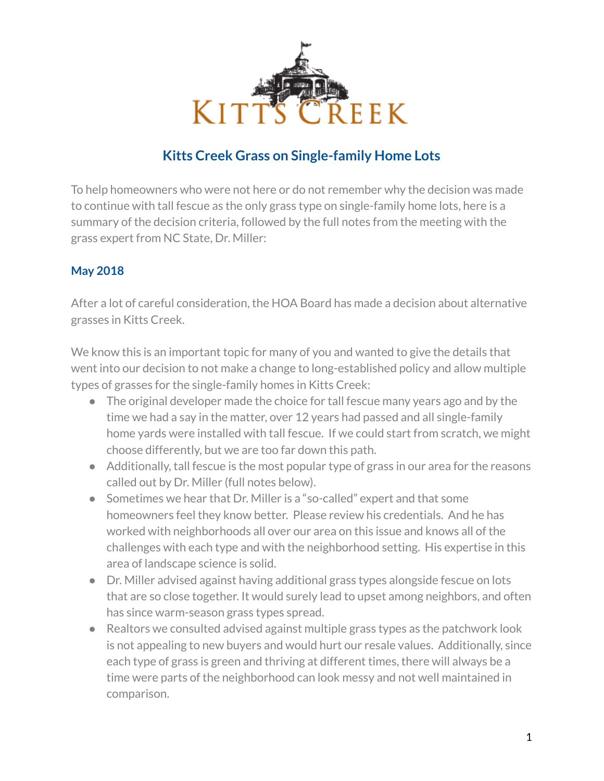

# **Kitts Creek Grass on Single-family Home Lots**

To help homeowners who were not here or do not remember why the decision was made to continue with tall fescue as the only grass type on single-family home lots, here is a summary of the decision criteria, followed by the full notes from the meeting with the grass expert from NC State, Dr. Miller:

## **May 2018**

After a lot of careful consideration, the HOA Board has made a decision about alternative grasses in Kitts Creek.

We know this is an important topic for many of you and wanted to give the details that went into our decision to not make a change to long-established policy and allow multiple types of grasses for the single-family homes in Kitts Creek:

- The original developer made the choice for tall fescue many years ago and by the time we had a say in the matter, over 12 years had passed and all single-family home yards were installed with tall fescue. If we could start from scratch, we might choose differently, but we are too far down this path.
- Additionally, tall fescue is the most popular type of grass in our area for the reasons called out by Dr. Miller (full notes below).
- Sometimes we hear that Dr. Miller is a "so-called" expert and that some homeowners feel they know better. Please review his credentials. And he has worked with neighborhoods all over our area on this issue and knows all of the challenges with each type and with the neighborhood setting. His expertise in this area of landscape science is solid.
- Dr. Miller advised against having additional grass types alongside fescue on lots that are so close together. It would surely lead to upset among neighbors, and often has since warm-season grass types spread.
- Realtors we consulted advised against multiple grass types as the patchwork look is not appealing to new buyers and would hurt our resale values. Additionally, since each type of grass is green and thriving at different times, there will always be a time were parts of the neighborhood can look messy and not well maintained in comparison.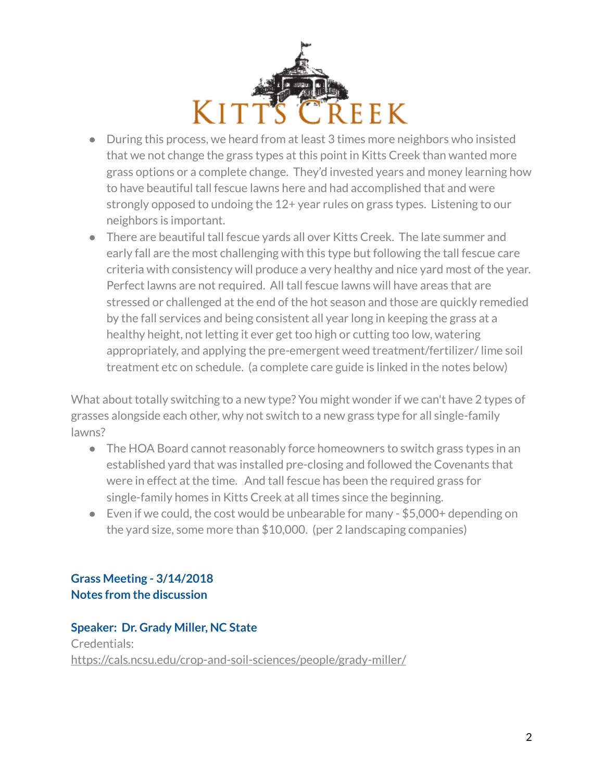

- During this process, we heard from at least 3 times more neighbors who insisted that we not change the grass types at this point in Kitts Creek than wanted more grass options or a complete change. They'd invested years and money learning how to have beautiful tall fescue lawns here and had accomplished that and were strongly opposed to undoing the 12+ year rules on grass types. Listening to our neighbors is important.
- There are beautiful tall fescue yards all over Kitts Creek. The late summer and early fall are the most challenging with this type but following the tall fescue care criteria with consistency will produce a very healthy and nice yard most of the year. Perfect lawns are not required. All tall fescue lawns will have areas that are stressed or challenged at the end of the hot season and those are quickly remedied by the fall services and being consistent all year long in keeping the grass at a healthy height, not letting it ever get too high or cutting too low, watering appropriately, and applying the pre-emergent weed treatment/fertilizer/ lime soil treatment etc on schedule. (a complete care guide is linked in the notes below)

What about totally switching to a new type? You might wonder if we can't have 2 types of grasses alongside each other, why not switch to a new grass type for all single-family lawns?

- The HOA Board cannot reasonably force homeowners to switch grass types in an established yard that was installed pre-closing and followed the Covenants that were in effect at the time. And tall fescue has been the required grass for single-family homes in Kitts Creek at all times since the beginning.
- Even if we could, the cost would be unbearable for many \$5,000+ depending on the yard size, some more than \$10,000. (per 2 landscaping companies)

# **Grass Meeting - 3/14/2018 Notes from the discussion**

## **Speaker: Dr. Grady Miller, NC State** Credentials: <https://cals.ncsu.edu/crop-and-soil-sciences/people/grady-miller/>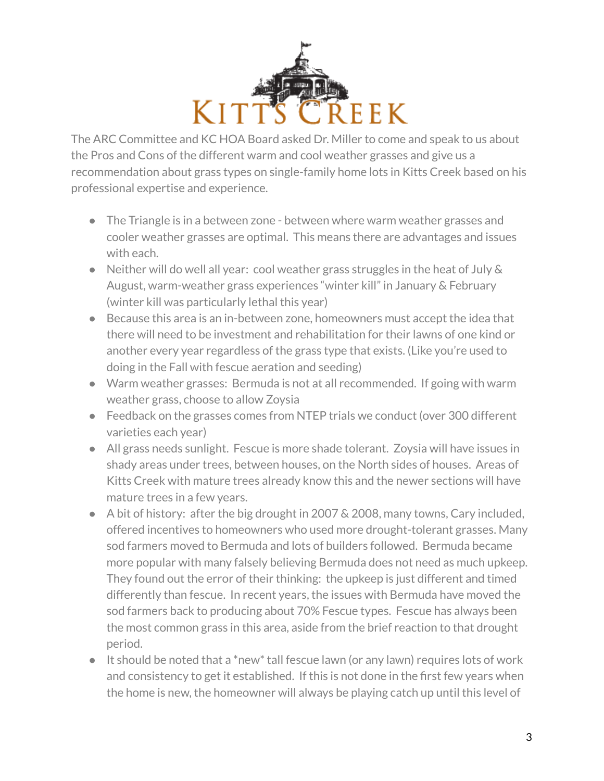

The ARC Committee and KC HOA Board asked Dr. Miller to come and speak to us about the Pros and Cons of the different warm and cool weather grasses and give us a recommendation about grass types on single-family home lots in Kitts Creek based on his professional expertise and experience.

- The Triangle is in a between zone between where warm weather grasses and cooler weather grasses are optimal. This means there are advantages and issues with each.
- Neither will do well all year: cool weather grass struggles in the heat of July & August, warm-weather grass experiences "winter kill" in January & February (winter kill was particularly lethal this year)
- Because this area is an in-between zone, homeowners must accept the idea that there will need to be investment and rehabilitation for their lawns of one kind or another every year regardless of the grass type that exists. (Like you're used to doing in the Fall with fescue aeration and seeding)
- Warm weather grasses: Bermuda is not at all recommended. If going with warm weather grass, choose to allow Zoysia
- Feedback on the grasses comes from NTEP trials we conduct (over 300 different varieties each year)
- All grass needs sunlight. Fescue is more shade tolerant. Zoysia will have issues in shady areas under trees, between houses, on the North sides of houses. Areas of Kitts Creek with mature trees already know this and the newer sections will have mature trees in a few years.
- A bit of history: after the big drought in 2007 & 2008, many towns, Cary included, offered incentives to homeowners who used more drought-tolerant grasses. Many sod farmers moved to Bermuda and lots of builders followed. Bermuda became more popular with many falsely believing Bermuda does not need as much upkeep. They found out the error of their thinking: the upkeep is just different and timed differently than fescue. In recent years, the issues with Bermuda have moved the sod farmers back to producing about 70% Fescue types. Fescue has always been the most common grass in this area, aside from the brief reaction to that drought period.
- It should be noted that a \*new\* tall fescue lawn (or any lawn) requires lots of work and consistency to get it established. If this is not done in the first few years when the home is new, the homeowner will always be playing catch up until this level of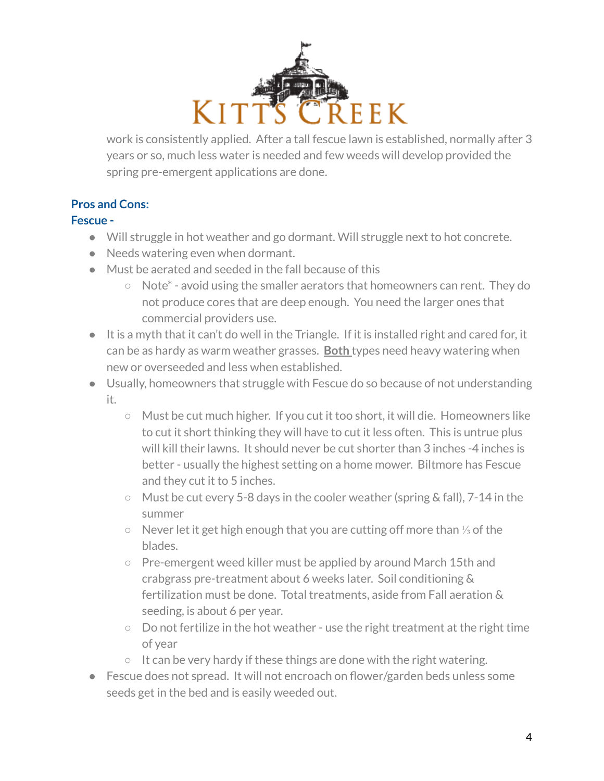

work is consistently applied. After a tall fescue lawn is established, normally after 3 years or so, much less water is needed and few weeds will develop provided the spring pre-emergent applications are done.

# **Pros and Cons:**

#### **Fescue -**

- Will struggle in hot weather and go dormant. Will struggle next to hot concrete.
- Needs watering even when dormant.
- Must be aerated and seeded in the fall because of this
	- Note\* avoid using the smaller aerators that homeowners can rent. They do not produce cores that are deep enough. You need the larger ones that commercial providers use.
- It is a myth that it can't do well in the Triangle. If it is installed right and cared for, it can be as hardy as warm weather grasses. **Both** types need heavy watering when new or overseeded and less when established.
- Usually, homeowners that struggle with Fescue do so because of not understanding it.
	- Must be cut much higher. If you cut it too short, it will die. Homeowners like to cut it short thinking they will have to cut it less often. This is untrue plus will kill their lawns. It should never be cut shorter than 3 inches -4 inches is better - usually the highest setting on a home mower. Biltmore has Fescue and they cut it to 5 inches.
	- Must be cut every 5-8 days in the cooler weather (spring & fall), 7-14 in the summer
	- Never let it get high enough that you are cutting off more than ⅓ of the blades.
	- Pre-emergent weed killer must be applied by around March 15th and crabgrass pre-treatment about 6 weeks later. Soil conditioning & fertilization must be done. Total treatments, aside from Fall aeration & seeding, is about 6 per year.
	- Do not fertilize in the hot weather use the right treatment at the right time of year
	- It can be very hardy if these things are done with the right watering.
- Fescue does not spread. It will not encroach on flower/garden beds unless some seeds get in the bed and is easily weeded out.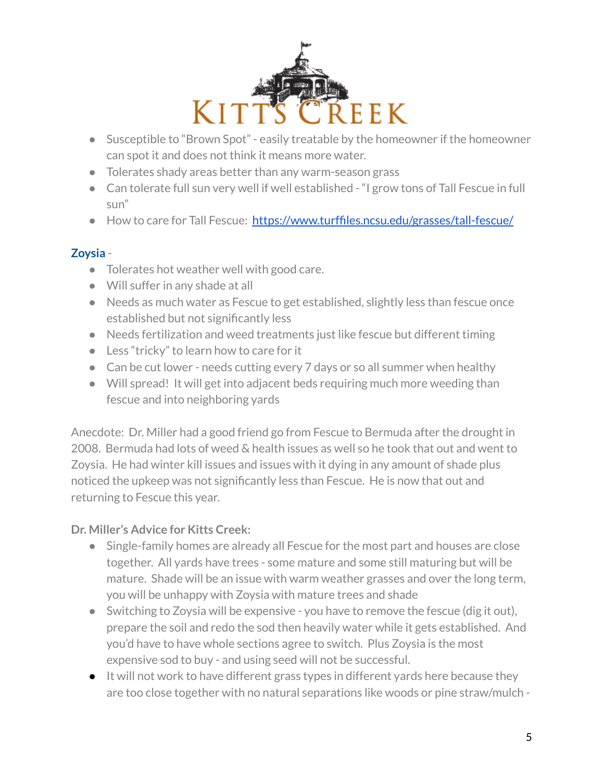

- Susceptible to "Brown Spot" easily treatable by the homeowner if the homeowner can spot it and does not think it means more water.
- Tolerates shady areas better than any warm-season grass
- Can tolerate full sun very well if well established "I grow tons of Tall Fescue in full sun"
- How to care for Tall Fescue: <https://www.turffiles.ncsu.edu/grasses/tall-fescue/>

## **Zoysia** -

- Tolerates hot weather well with good care.
- Will suffer in any shade at all
- Needs as much water as Fescue to get established, slightly less than fescue once established but not significantly less
- Needs fertilization and weed treatments just like fescue but different timing
- Less "tricky" to learn how to care for it
- Can be cut lower needs cutting every 7 days or so all summer when healthy
- Will spread! It will get into adjacent beds requiring much more weeding than fescue and into neighboring yards

Anecdote: Dr. Miller had a good friend go from Fescue to Bermuda after the drought in 2008. Bermuda had lots of weed & health issues as well so he took that out and went to Zoysia. He had winter kill issues and issues with it dying in any amount of shade plus noticed the upkeep was not significantly less than Fescue. He is now that out and returning to Fescue this year.

## **Dr. Miller's Advice for Kitts Creek:**

- Single-family homes are already all Fescue for the most part and houses are close together. All yards have trees - some mature and some still maturing but will be mature. Shade will be an issue with warm weather grasses and over the long term, you will be unhappy with Zoysia with mature trees and shade
- Switching to Zoysia will be expensive you have to remove the fescue (dig it out), prepare the soil and redo the sod then heavily water while it gets established. And you'd have to have whole sections agree to switch. Plus Zoysia is the most expensive sod to buy - and using seed will not be successful.
- It will not work to have different grass types in different yards here because they are too close together with no natural separations like woods or pine straw/mulch -